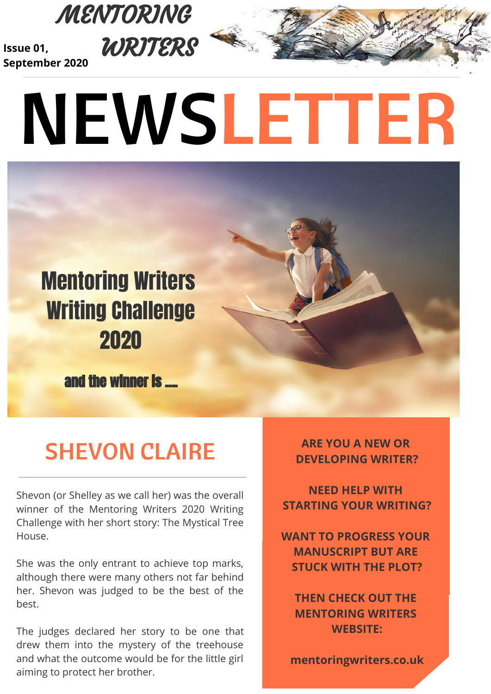

**Issue 01, September 2020**

# NEWSLETTER

## Mentoring Writers Writing Challenge 2020

and the winner is ....

## SHEVON CLAIRE

Shevon (or Shelley as we call her) was the overall winner of the Mentoring Writers 2020 Writing Challenge with her short story: The Mystical Tree House.

She was the only entrant to achieve top marks, although there were many others not far behind her. Shevon was judged to be the best of the best.

The judges declared her story to be one that drew them into the mystery of the treehouse and what the outcome would be for the little girl aiming to protect her brother.

**ARE YOU A NEW OR DEVELOPING WRITER?**

**NEED HELP WITH STARTING YOUR WRITING?**

**WANT TO PROGRESS YOUR MANUSCRIPT BUT ARE STUCK WITH THE PLOT?**

**THEN CHECK OUT THE MENTORING WRITERS WEBSITE:**

**mentoringwriters.co.uk**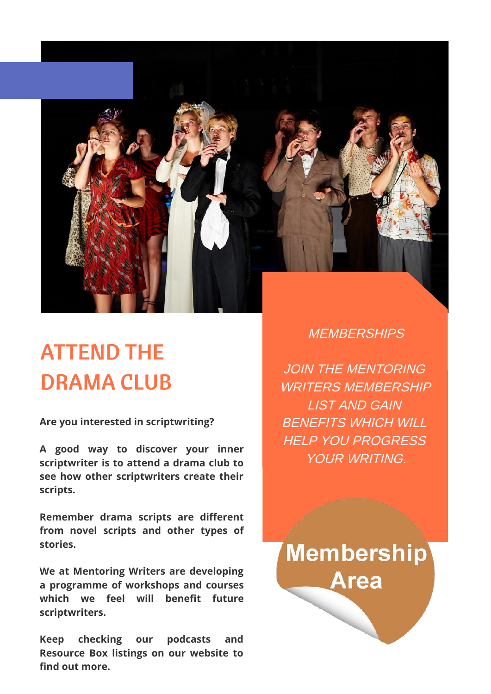

## ATTEND THE DRAMA CLUB

**Are you interested in scriptwriting?**

**A good way to discover your inner scriptwriter is to attend a drama club to see how other scriptwriters create their scripts.**

**Remember drama scripts are different from novel scripts and other types of stories.** 

**We at Mentoring Writers are developing a programme of workshops and courses** which we feel will benefit future **scriptwriters.**

**Keep checking our podcasts and Resource Box listings on our website to** find out more.

#### **MEMBERSHIPS**

JOIN THE MENTORING WRITERS MEMBERSHIP LIST AND GAIN BENEFITS WHICH WILL HELP YOU PROGRESS YOUR WRITING.

**Membership Area**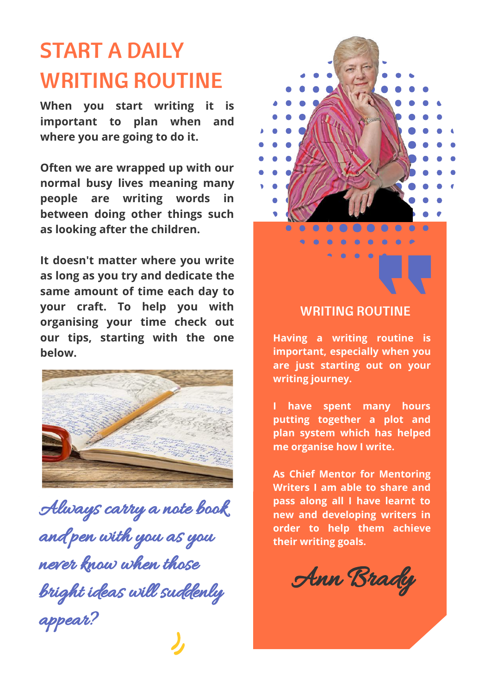## START A DAILY WRITING ROUTINE

**When you start writing it is important to plan when and where you are going to do it.**

**Often we are wrapped up with our normal busy lives meaning many people are writing words in between doing other things such as looking after the children.**

**It doesn't matter where you write as long as you try and dedicate the same amount of time each day to your craft. To help you with organising your time check out our tips, starting with the one below.**



Always carry a note book and pen with you as you never know when those bright ideas will suddenly appear?



#### WRITING ROUTINE

**Having a writing routine is important, especially when you are just starting out on your writing journey.**

**I have spent many hours putting together a plot and plan system which has helped me organise how I write.** 

**As Chief Mentor for Mentoring Writers I am able to share and pass along all I have learnt to new and developing writers in order to help them achieve their writing goals.**

Ann Brady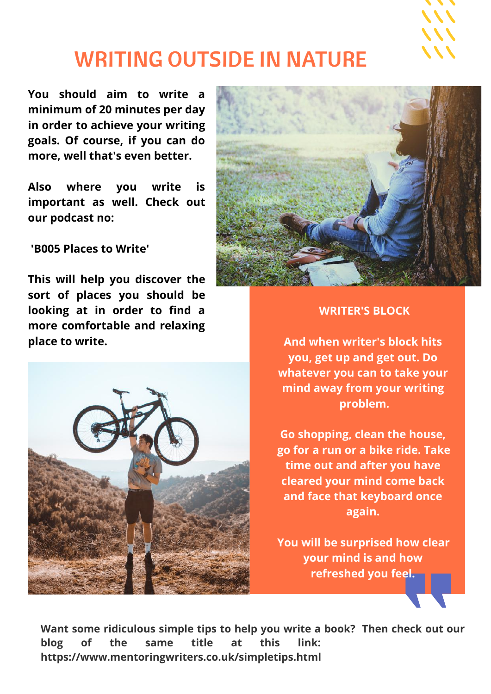

#### WRITING OUTSIDE IN NATURE

**You should aim to write a minimum of 20 minutes per day in order to achieve your writing goals. Of course, if you can do more, well that's even better.**

**Also where you write is important as well. Check out our podcast no:** 

 **'B005 Places to Write'** 

**This will help you discover the sort of places you should be looking at in order to find a more comfortable and relaxing place to write.**





#### **WRITER'S BLOCK**

**And when writer's block hits you, get up and get out. Do whatever you can to take your mind away from your writing problem.**

**Go shopping, clean the house, go for a run or a bike ride. Take time out and after you have cleared your mind come back and face that keyboard once again.** 

**You will be surprised how clear your mind is and how refreshed you feel.**

**Want some ridiculous simple tips to help you write a book? Then check out our blog of the same title at this link: https://www.mentoringwriters.co.uk/simpletips.html**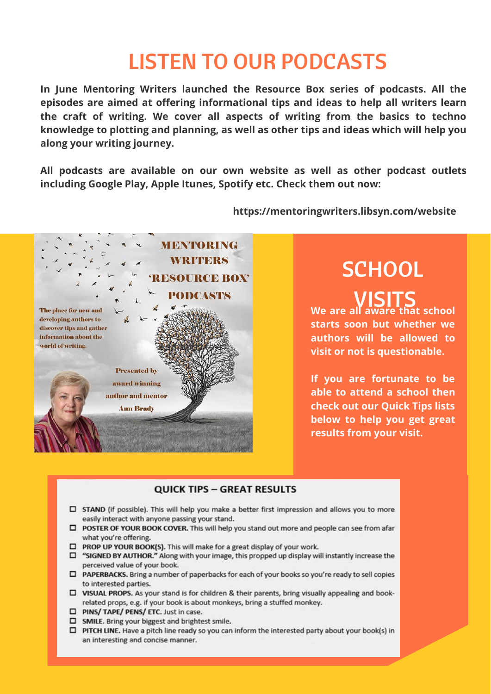#### LISTEN TO OUR PODCASTS

**In June Mentoring Writers launched the Resource Box series of podcasts. All the** episodes are aimed at offering informational tips and ideas to help all writers learn **the craft of writing. We cover all aspects of writing from the basics to techno knowledge to plotting and planning, as well as other tips and ideas which will help you along your writing journey.**

**All podcasts are available on our own website as well as other podcast outlets including Google Play, Apple Itunes, Spotify etc. Check them out now:**



#### **https://mentoringwriters.libsyn.com/website**

## **SCHOOL**

VISITS **We are all aware that school starts soon but whether we authors will be allowed to visit or not is questionable.**

**If you are fortunate to be able to attend a school then check out our Quick Tips lists below to help you get great results from your visit.**

#### **QUICK TIPS - GREAT RESULTS**

- □ STAND (if possible). This will help you make a better first impression and allows you to more easily interact with anyone passing your stand.
- □ POSTER OF YOUR BOOK COVER. This will help you stand out more and people can see from afar what you're offering.
- $\Box$  PROP UP YOUR BOOK(S). This will make for a great display of your work.
- $\Box$  "SIGNED BY AUTHOR." Along with your image, this propped up display will instantly increase the perceived value of your book.
- □ PAPERBACKS. Bring a number of paperbacks for each of your books so you're ready to sell copies to interested parties.
- $\square$  VISUAL PROPS. As your stand is for children & their parents, bring visually appealing and bookrelated props, e.g. if your book is about monkeys, bring a stuffed monkey.
- □ PINS/ TAPE/ PENS/ ETC. Just in case.
- SMILE. Bring your biggest and brightest smile.
- □ PITCH LINE. Have a pitch line ready so you can inform the interested party about your book(s) in an interesting and concise manner.